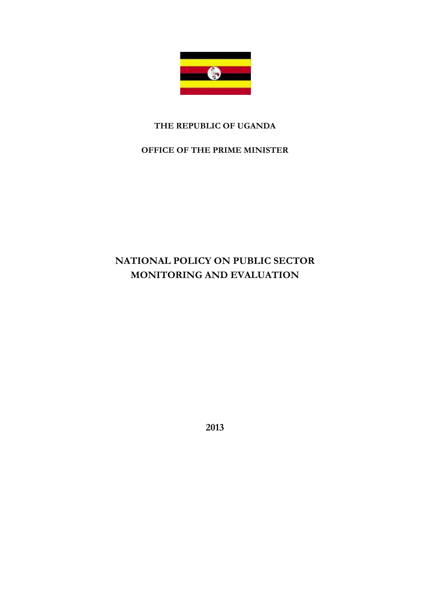

### **THE REPUBLIC OF UGANDA**

### **OFFICE OF THE PRIME MINISTER**

# **NATIONAL POLICY ON PUBLIC SECTOR MONITORING AND EVALUATION**

**2013**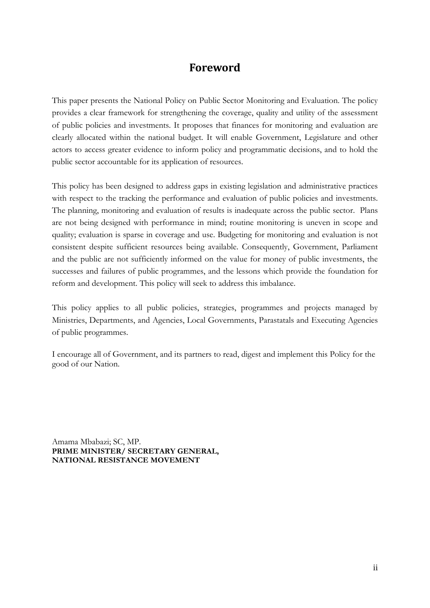### **Foreword**

This paper presents the National Policy on Public Sector Monitoring and Evaluation. The policy provides a clear framework for strengthening the coverage, quality and utility of the assessment of public policies and investments. It proposes that finances for monitoring and evaluation are clearly allocated within the national budget. It will enable Government, Legislature and other actors to access greater evidence to inform policy and programmatic decisions, and to hold the public sector accountable for its application of resources.

This policy has been designed to address gaps in existing legislation and administrative practices with respect to the tracking the performance and evaluation of public policies and investments. The planning, monitoring and evaluation of results is inadequate across the public sector. Plans are not being designed with performance in mind; routine monitoring is uneven in scope and quality; evaluation is sparse in coverage and use. Budgeting for monitoring and evaluation is not consistent despite sufficient resources being available. Consequently, Government, Parliament and the public are not sufficiently informed on the value for money of public investments, the successes and failures of public programmes, and the lessons which provide the foundation for reform and development. This policy will seek to address this imbalance.

This policy applies to all public policies, strategies, programmes and projects managed by Ministries, Departments, and Agencies, Local Governments, Parastatals and Executing Agencies of public programmes.

I encourage all of Government, and its partners to read, digest and implement this Policy for the good of our Nation.

Amama Mbabazi; SC, MP. **PRIME MINISTER/ SECRETARY GENERAL, NATIONAL RESISTANCE MOVEMENT**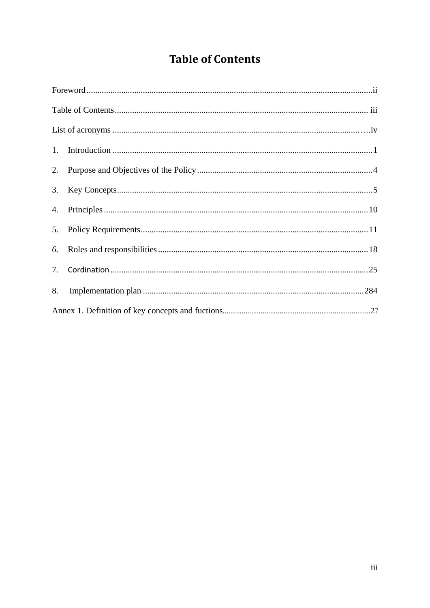# **Table of Contents**

| 6. |  |  |
|----|--|--|
|    |  |  |
| 8. |  |  |
|    |  |  |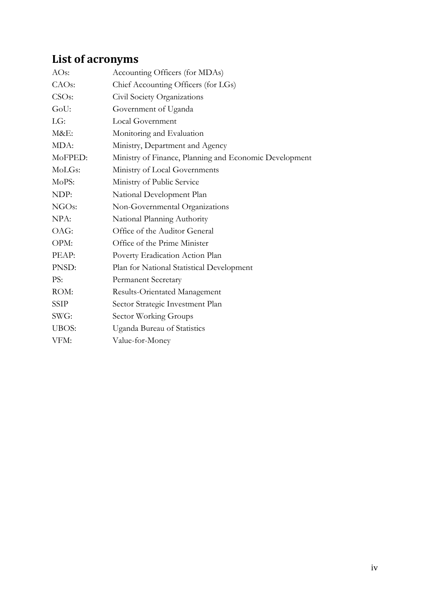# **List of acronyms**

| Accounting Officers (for MDAs)                         |
|--------------------------------------------------------|
| Chief Accounting Officers (for LGs)                    |
| Civil Society Organizations                            |
| Government of Uganda                                   |
| Local Government                                       |
| Monitoring and Evaluation                              |
| Ministry, Department and Agency                        |
| Ministry of Finance, Planning and Economic Development |
| Ministry of Local Governments                          |
| Ministry of Public Service                             |
| National Development Plan                              |
| Non-Governmental Organizations                         |
| National Planning Authority                            |
| Office of the Auditor General                          |
| Office of the Prime Minister                           |
| Poverty Eradication Action Plan                        |
| Plan for National Statistical Development              |
| <b>Permanent Secretary</b>                             |
| Results-Orientated Management                          |
| Sector Strategic Investment Plan                       |
| Sector Working Groups                                  |
| Uganda Bureau of Statistics                            |
| Value-for-Money                                        |
|                                                        |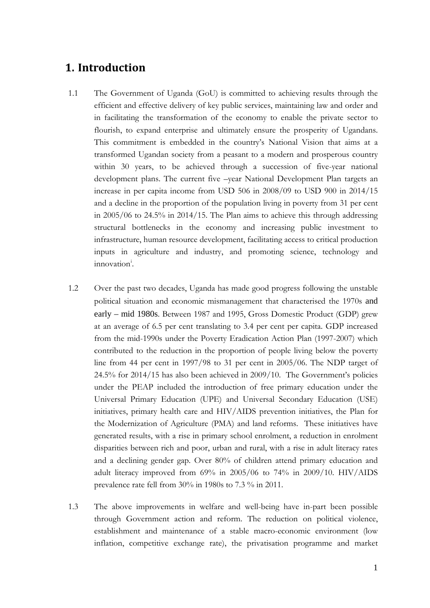### **1. Introduction**

- 1.1 The Government of Uganda (GoU) is committed to achieving results through the efficient and effective delivery of key public services, maintaining law and order and in facilitating the transformation of the economy to enable the private sector to flourish, to expand enterprise and ultimately ensure the prosperity of Ugandans. This commitment is embedded in the country's National Vision that aims at a transformed Ugandan society from a peasant to a modern and prosperous country within 30 years, to be achieved through a succession of five-year national development plans. The current five –year National Development Plan targets an increase in per capita income from USD 506 in 2008/09 to USD 900 in 2014/15 and a decline in the proportion of the population living in poverty from 31 per cent in 2005/06 to 24.5% in 2014/15. The Plan aims to achieve this through addressing structural bottlenecks in the economy and increasing public investment to infrastructure, human resource development, facilitating access to critical production inputs in agriculture and industry, and promoting science, technology and [i](#page-33-0)nnovation<sup>i</sup>.
- 1.2 Over the past two decades, Uganda has made good progress following the unstable political situation and economic mismanagement that characterised the 1970s and early – mid 1980s. Between 1987 and 1995, Gross Domestic Product (GDP) grew at an average of 6.5 per cent translating to 3.4 per cent per capita. GDP increased from the mid-1990s under the Poverty Eradication Action Plan (1997-2007) which contributed to the reduction in the proportion of people living below the poverty line from 44 per cent in 1997/98 to 31 per cent in 2005/06. The NDP target of 24.5% for 2014/15 has also been achieved in 2009/10. The Government's policies under the PEAP included the introduction of free primary education under the Universal Primary Education (UPE) and Universal Secondary Education (USE) initiatives, primary health care and HIV/AIDS prevention initiatives, the Plan for the Modernization of Agriculture (PMA) and land reforms. These initiatives have generated results, with a rise in primary school enrolment, a reduction in enrolment disparities between rich and poor, urban and rural, with a rise in adult literacy rates and a declining gender gap. Over 80% of children attend primary education and adult literacy improved from 69% in 2005/06 to 74% in 2009/10. HIV/AIDS prevalence rate fell from 30% in 1980s to 7.3 % in 2011.
- 1.3 The above improvements in welfare and well-being have in-part been possible through Government action and reform. The reduction on political violence, establishment and maintenance of a stable macro-economic environment (low inflation, competitive exchange rate), the privatisation programme and market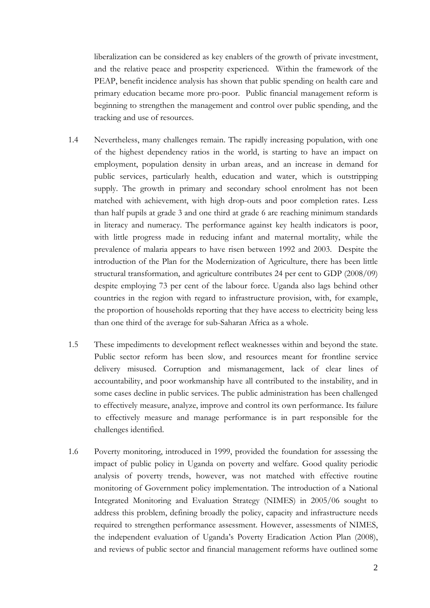liberalization can be considered as key enablers of the growth of private investment, and the relative peace and prosperity experienced. Within the framework of the PEAP, benefit incidence analysis has shown that public spending on health care and primary education became more pro-poor. Public financial management reform is beginning to strengthen the management and control over public spending, and the tracking and use of resources.

- 1.4 Nevertheless, many challenges remain. The rapidly increasing population, with one of the highest dependency ratios in the world, is starting to have an impact on employment, population density in urban areas, and an increase in demand for public services, particularly health, education and water, which is outstripping supply. The growth in primary and secondary school enrolment has not been matched with achievement, with high drop-outs and poor completion rates. Less than half pupils at grade 3 and one third at grade 6 are reaching minimum standards in literacy and numeracy. The performance against key health indicators is poor, with little progress made in reducing infant and maternal mortality, while the prevalence of malaria appears to have risen between 1992 and 2003. Despite the introduction of the Plan for the Modernization of Agriculture, there has been little structural transformation, and agriculture contributes 24 per cent to GDP (2008/09) despite employing 73 per cent of the labour force. Uganda also lags behind other countries in the region with regard to infrastructure provision, with, for example, the proportion of households reporting that they have access to electricity being less than one third of the average for sub-Saharan Africa as a whole.
- 1.5 These impediments to development reflect weaknesses within and beyond the state. Public sector reform has been slow, and resources meant for frontline service delivery misused. Corruption and mismanagement, lack of clear lines of accountability, and poor workmanship have all contributed to the instability, and in some cases decline in public services. The public administration has been challenged to effectively measure, analyze, improve and control its own performance. Its failure to effectively measure and manage performance is in part responsible for the challenges identified.
- 1.6 Poverty monitoring, introduced in 1999, provided the foundation for assessing the impact of public policy in Uganda on poverty and welfare. Good quality periodic analysis of poverty trends, however, was not matched with effective routine monitoring of Government policy implementation. The introduction of a National Integrated Monitoring and Evaluation Strategy (NIMES) in 2005/06 sought to address this problem, defining broadly the policy, capacity and infrastructure needs required to strengthen performance assessment. However, assessments of NIMES, the independent evaluation of Uganda's Poverty Eradication Action Plan (2008), and reviews of public sector and financial management reforms have outlined some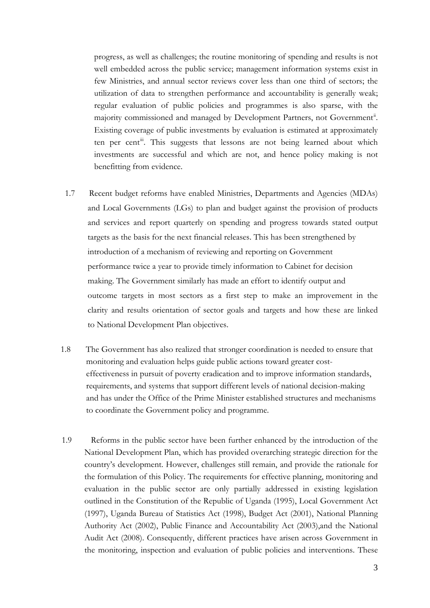progress, as well as challenges; the routine monitoring of spending and results is not well embedded across the public service; management information systems exist in few Ministries, and annual sector reviews cover less than one third of sectors; the utilization of data to strengthen performance and accountability is generally weak; regular evaluation of public policies and programmes is also sparse, with the majority commissioned and managed by Development Partners, not Government<sup>[ii](#page-33-1)</sup>. Existing coverage of public investments by evaluation is estimated at approximately ten per cent<sup>ii</sup>. This suggests that lessons are not being learned about which investments are successful and which are not, and hence policy making is not benefitting from evidence.

- 1.7 Recent budget reforms have enabled Ministries, Departments and Agencies (MDAs) and Local Governments (LGs) to plan and budget against the provision of products and services and report quarterly on spending and progress towards stated output targets as the basis for the next financial releases. This has been strengthened by introduction of a mechanism of reviewing and reporting on Government performance twice a year to provide timely information to Cabinet for decision making. The Government similarly has made an effort to identify output and outcome targets in most sectors as a first step to make an improvement in the clarity and results orientation of sector goals and targets and how these are linked to National Development Plan objectives.
- 1.8 The Government has also realized that stronger coordination is needed to ensure that monitoring and evaluation helps guide public actions toward greater cost effectiveness in pursuit of poverty eradication and to improve information standards, requirements, and systems that support different levels of national decision-making and has under the Office of the Prime Minister established structures and mechanisms to coordinate the Government policy and programme.
- 1.9 Reforms in the public sector have been further enhanced by the introduction of the National Development Plan, which has provided overarching strategic direction for the country's development. However, challenges still remain, and provide the rationale for the formulation of this Policy. The requirements for effective planning, monitoring and evaluation in the public sector are only partially addressed in existing legislation outlined in the Constitution of the Republic of Uganda (1995), Local Government Act (1997), Uganda Bureau of Statistics Act (1998), Budget Act (2001), National Planning Authority Act (2002), Public Finance and Accountability Act (2003),and the National Audit Act (2008). Consequently, different practices have arisen across Government in the monitoring, inspection and evaluation of public policies and interventions. These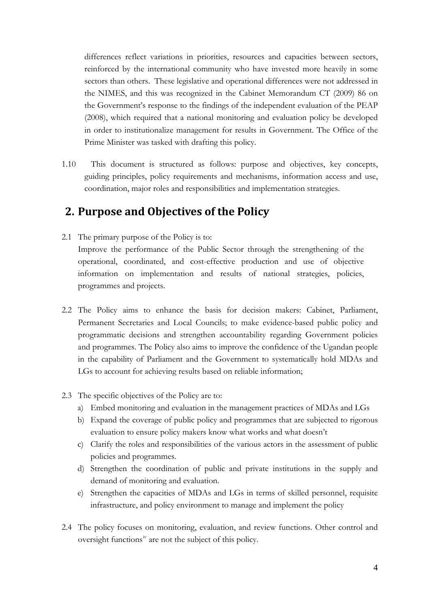differences reflect variations in priorities, resources and capacities between sectors, reinforced by the international community who have invested more heavily in some sectors than others. These legislative and operational differences were not addressed in the NIMES, and this was recognized in the Cabinet Memorandum CT (2009) 86 on the Government's response to the findings of the independent evaluation of the PEAP (2008), which required that a national monitoring and evaluation policy be developed in order to institutionalize management for results in Government. The Office of the Prime Minister was tasked with drafting this policy.

1.10 This document is structured as follows: purpose and objectives, key concepts, guiding principles, policy requirements and mechanisms, information access and use, coordination, major roles and responsibilities and implementation strategies.

### **2. Purpose and Objectives of the Policy**

- 2.1 The primary purpose of the Policy is to: Improve the performance of the Public Sector through the strengthening of the operational, coordinated, and cost-effective production and use of objective information on implementation and results of national strategies, policies, programmes and projects.
- 2.2 The Policy aims to enhance the basis for decision makers: Cabinet, Parliament, Permanent Secretaries and Local Councils; to make evidence-based public policy and programmatic decisions and strengthen accountability regarding Government policies and programmes. The Policy also aims to improve the confidence of the Ugandan people in the capability of Parliament and the Government to systematically hold MDAs and LGs to account for achieving results based on reliable information;
- 2.3 The specific objectives of the Policy are to:
	- a) Embed monitoring and evaluation in the management practices of MDAs and LGs
	- b) Expand the coverage of public policy and programmes that are subjected to rigorous evaluation to ensure policy makers know what works and what doesn't
	- c) Clarify the roles and responsibilities of the various actors in the assessment of public policies and programmes.
	- d) Strengthen the coordination of public and private institutions in the supply and demand of monitoring and evaluation.
	- e) Strengthen the capacities of MDAs and LGs in terms of skilled personnel, requisite infrastructure, and policy environment to manage and implement the policy
- 2.4 The policy focuses on monitoring, evaluation, and review functions. Other control and oversight functions<sup>[iv](#page-33-3)</sup> are not the subject of this policy.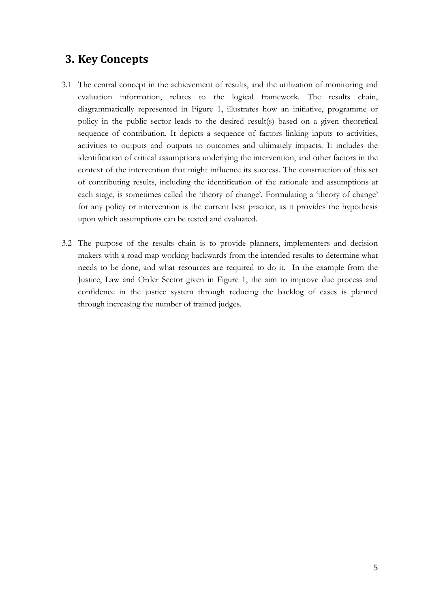### **3. Key Concepts**

- 3.1 The central concept in the achievement of results, and the utilization of monitoring and evaluation information, relates to the logical framework. The results chain, diagrammatically represented in Figure 1, illustrates how an initiative, programme or policy in the public sector leads to the desired result(s) based on a given theoretical sequence of contribution. It depicts a sequence of factors linking inputs to activities, activities to outputs and outputs to outcomes and ultimately impacts. It includes the identification of critical assumptions underlying the intervention, and other factors in the context of the intervention that might influence its success. The construction of this set of contributing results, including the identification of the rationale and assumptions at each stage, is sometimes called the 'theory of change'. Formulating a 'theory of change' for any policy or intervention is the current best practice, as it provides the hypothesis upon which assumptions can be tested and evaluated.
- 3.2 The purpose of the results chain is to provide planners, implementers and decision makers with a road map working backwards from the intended results to determine what needs to be done, and what resources are required to do it. In the example from the Justice, Law and Order Sector given in Figure 1, the aim to improve due process and confidence in the justice system through reducing the backlog of cases is planned through increasing the number of trained judges.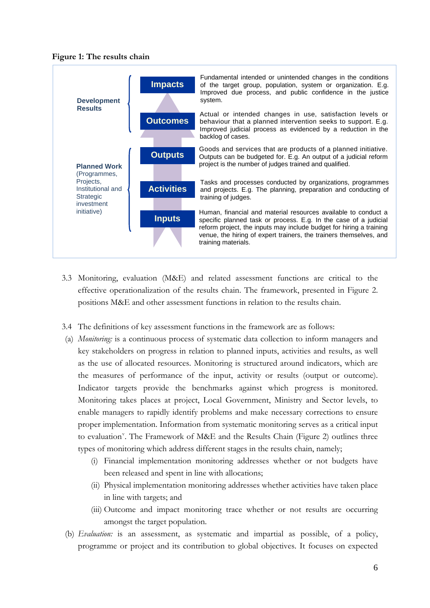



- 3.3 Monitoring, evaluation (M&E) and related assessment functions are critical to the effective operationalization of the results chain. The framework, presented in Figure 2. positions M&E and other assessment functions in relation to the results chain.
- 3.4 The definitions of key assessment functions in the framework are as follows:
- (a) *Monitoring:* is a continuous process of systematic data collection to inform managers and key stakeholders on progress in relation to planned inputs, activities and results, as well as the use of allocated resources. Monitoring is structured around indicators, which are the measures of performance of the input, activity or results (output or outcome). Indicator targets provide the benchmarks against which progress is monitored. Monitoring takes places at project, Local Government, Ministry and Sector levels, to enable managers to rapidly identify problems and make necessary corrections to ensure proper implementation. Information from systematic monitoring serves as a critical input to e[v](#page-33-4)aluation<sup>v</sup>. The Framework of M&E and the Results Chain (Figure 2) outlines three types of monitoring which address different stages in the results chain, namely;
	- (i) Financial implementation monitoring addresses whether or not budgets have been released and spent in line with allocations;
	- (ii) Physical implementation monitoring addresses whether activities have taken place in line with targets; and
	- (iii) Outcome and impact monitoring trace whether or not results are occurring amongst the target population.
- (b) *Evaluation:* is an assessment, as systematic and impartial as possible, of a policy, programme or project and its contribution to global objectives. It focuses on expected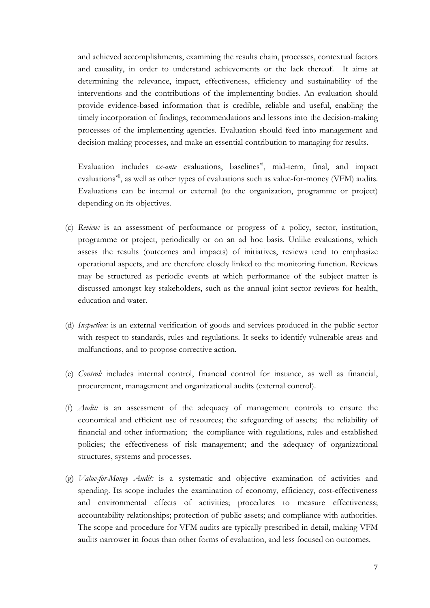and achieved accomplishments, examining the results chain, processes, contextual factors and causality, in order to understand achievements or the lack thereof. It aims at determining the relevance, impact, effectiveness, efficiency and sustainability of the interventions and the contributions of the implementing bodies. An evaluation should provide evidence-based information that is credible, reliable and useful, enabling the timely incorporation of findings, recommendations and lessons into the decision-making processes of the implementing agencies. Evaluation should feed into management and decision making processes, and make an essential contribution to managing for results.

Evaluation includes *ex-ante* evaluations, baselines<sup>vi</sup>, mid-term, final, and impact evaluations<sup>[vii](#page-33-6)</sup>, as well as other types of evaluations such as value-for-money (VFM) audits. Evaluations can be internal or external (to the organization, programme or project) depending on its objectives.

- (c) *Review:* is an assessment of performance or progress of a policy, sector, institution, programme or project, periodically or on an ad hoc basis. Unlike evaluations, which assess the results (outcomes and impacts) of initiatives, reviews tend to emphasize operational aspects, and are therefore closely linked to the monitoring function. Reviews may be structured as periodic events at which performance of the subject matter is discussed amongst key stakeholders, such as the annual joint sector reviews for health, education and water.
- (d) *Inspection:* is an external verification of goods and services produced in the public sector with respect to standards, rules and regulations. It seeks to identify vulnerable areas and malfunctions, and to propose corrective action.
- (e) *Control:* includes internal control, financial control for instance, as well as financial, procurement, management and organizational audits (external control).
- (f) *Audit:* is an assessment of the adequacy of management controls to ensure the economical and efficient use of resources; the safeguarding of assets; the reliability of financial and other information; the compliance with regulations, rules and established policies; the effectiveness of risk management; and the adequacy of organizational structures, systems and processes.
- (g) *Value-for-Money Audit:* is a systematic and objective examination of activities and spending. Its scope includes the examination of economy, efficiency, cost-effectiveness and environmental effects of activities; procedures to measure effectiveness; accountability relationships; protection of public assets; and compliance with authorities. The scope and procedure for VFM audits are typically prescribed in detail, making VFM audits narrower in focus than other forms of evaluation, and less focused on outcomes.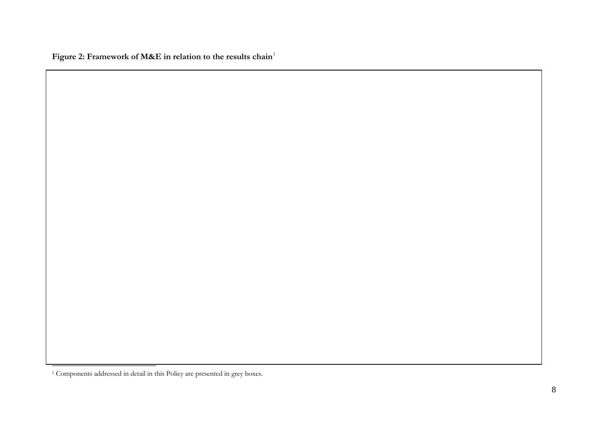<span id="page-11-0"></span>Figure 2: Framework of M&E in relation to the results chain<sup>[1](#page-11-0)</sup>

<sup>1</sup> Components addressed in detail in this Policy are presented in grey boxes.

1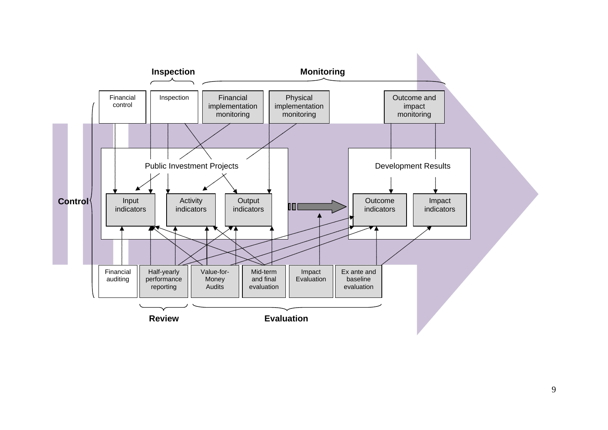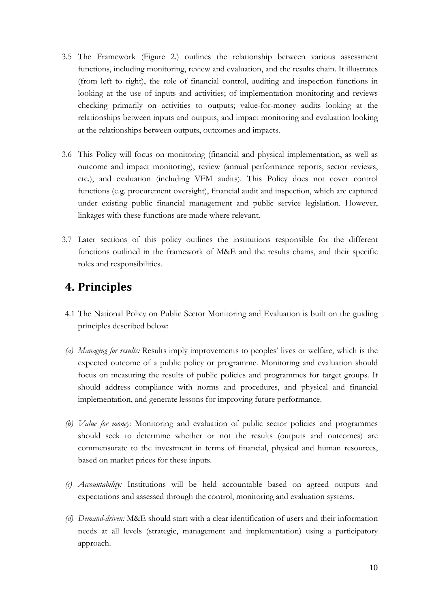- 3.5 The Framework (Figure 2.) outlines the relationship between various assessment functions, including monitoring, review and evaluation, and the results chain. It illustrates (from left to right), the role of financial control, auditing and inspection functions in looking at the use of inputs and activities; of implementation monitoring and reviews checking primarily on activities to outputs; value-for-money audits looking at the relationships between inputs and outputs, and impact monitoring and evaluation looking at the relationships between outputs, outcomes and impacts.
- 3.6 This Policy will focus on monitoring (financial and physical implementation, as well as outcome and impact monitoring), review (annual performance reports, sector reviews, etc.), and evaluation (including VFM audits). This Policy does not cover control functions (e.g. procurement oversight), financial audit and inspection, which are captured under existing public financial management and public service legislation. However, linkages with these functions are made where relevant.
- 3.7 Later sections of this policy outlines the institutions responsible for the different functions outlined in the framework of M&E and the results chains, and their specific roles and responsibilities.

### **4. Principles**

- 4.1 The National Policy on Public Sector Monitoring and Evaluation is built on the guiding principles described below:
- *(a) Managing for results:* Results imply improvements to peoples' lives or welfare, which is the expected outcome of a public policy or programme. Monitoring and evaluation should focus on measuring the results of public policies and programmes for target groups. It should address compliance with norms and procedures, and physical and financial implementation, and generate lessons for improving future performance.
- *(b) Value for money:* Monitoring and evaluation of public sector policies and programmes should seek to determine whether or not the results (outputs and outcomes) are commensurate to the investment in terms of financial, physical and human resources, based on market prices for these inputs.
- *(c) Accountability:* Institutions will be held accountable based on agreed outputs and expectations and assessed through the control, monitoring and evaluation systems.
- *(d) Demand-driven:* M&E should start with a clear identification of users and their information needs at all levels (strategic, management and implementation) using a participatory approach.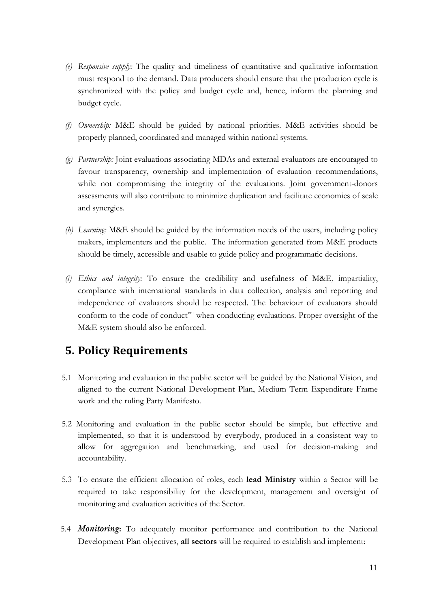- *(e) Responsive supply:* The quality and timeliness of quantitative and qualitative information must respond to the demand. Data producers should ensure that the production cycle is synchronized with the policy and budget cycle and, hence, inform the planning and budget cycle.
- *(f) Ownership:* M&E should be guided by national priorities. M&E activities should be properly planned, coordinated and managed within national systems.
- *(g) Partnership:* Joint evaluations associating MDAs and external evaluators are encouraged to favour transparency, ownership and implementation of evaluation recommendations, while not compromising the integrity of the evaluations. Joint government-donors assessments will also contribute to minimize duplication and facilitate economies of scale and synergies.
- *(h) Learning:* M&E should be guided by the information needs of the users, including policy makers, implementers and the public.The information generated from M&E products should be timely, accessible and usable to guide policy and programmatic decisions.
- *(i) Ethics and integrity:* To ensure the credibility and usefulness of M&E*,* impartiality, compliance with international standards in data collection, analysis and reporting and independence of evaluators should be respected. The behaviour of evaluators should conform to the code of conduct<sup>[viii](#page-33-7)</sup> when conducting evaluations. Proper oversight of the M&E system should also be enforced.

### **5. Policy Requirements**

- 5.1 Monitoring and evaluation in the public sector will be guided by the National Vision, and aligned to the current National Development Plan, Medium Term Expenditure Frame work and the ruling Party Manifesto.
- 5.2 Monitoring and evaluation in the public sector should be simple, but effective and implemented, so that it is understood by everybody, produced in a consistent way to allow for aggregation and benchmarking, and used for decision-making and accountability.
- 5.3 To ensure the efficient allocation of roles, each **lead Ministry** within a Sector will be required to take responsibility for the development, management and oversight of monitoring and evaluation activities of the Sector.
- 5.4 *Monitoring***:** To adequately monitor performance and contribution to the National Development Plan objectives, **all sectors** will be required to establish and implement: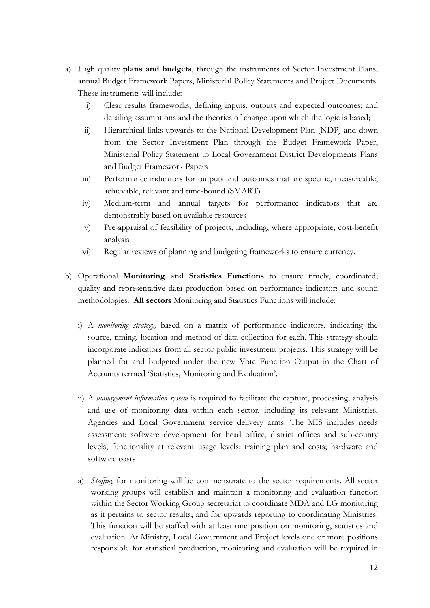- a) High quality **plans and budgets**, through the instruments of Sector Investment Plans, annual Budget Framework Papers, Ministerial Policy Statements and Project Documents. These instruments will include:
	- i) Clear results frameworks, defining inputs, outputs and expected outcomes; and detailing assumptions and the theories of change upon which the logic is based;
	- ii) Hierarchical links upwards to the National Development Plan (NDP) and down from the Sector Investment Plan through the Budget Framework Paper, Ministerial Policy Statement to Local Government District Developments Plans and Budget Framework Papers
	- iii) Performance indicators for outputs and outcomes that are specific, measureable, achievable, relevant and time-bound (SMART)
	- iv) Medium-term and annual targets for performance indicators that are demonstrably based on available resources
	- v) Pre-appraisal of feasibility of projects, including, where appropriate, cost-benefit analysis
	- vi) Regular reviews of planning and budgeting frameworks to ensure currency.
- b) Operational **Monitoring and Statistics Functions** to ensure timely, coordinated, quality and representative data production based on performance indicators and sound methodologies. **All sectors** Monitoring and Statistics Functions will include:
	- i) A *monitoring strategy,* based on a matrix of performance indicators, indicating the source, timing, location and method of data collection for each. This strategy should incorporate indicators from all sector public investment projects. This strategy will be planned for and budgeted under the new Vote Function Output in the Chart of Accounts termed 'Statistics, Monitoring and Evaluation'.
	- ii) A *management information system* is required to facilitate the capture, processing, analysis and use of monitoring data within each sector, including its relevant Ministries, Agencies and Local Government service delivery arms. The MIS includes needs assessment; software development for head office, district offices and sub-county levels; functionality at relevant usage levels; training plan and costs; hardware and software costs
	- a) *Staffing* for monitoring will be commensurate to the sector requirements. All sector working groups will establish and maintain a monitoring and evaluation function within the Sector Working Group secretariat to coordinate MDA and LG monitoring as it pertains to sector results, and for upwards reporting to coordinating Ministries. This function will be staffed with at least one position on monitoring, statistics and evaluation. At Ministry, Local Government and Project levels one or more positions responsible for statistical production, monitoring and evaluation will be required in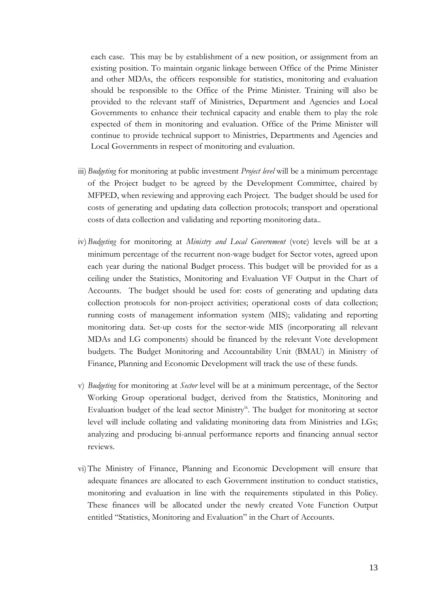each case. This may be by establishment of a new position, or assignment from an existing position. To maintain organic linkage between Office of the Prime Minister and other MDAs, the officers responsible for statistics, monitoring and evaluation should be responsible to the Office of the Prime Minister. Training will also be provided to the relevant staff of Ministries, Department and Agencies and Local Governments to enhance their technical capacity and enable them to play the role expected of them in monitoring and evaluation. Office of the Prime Minister will continue to provide technical support to Ministries, Departments and Agencies and Local Governments in respect of monitoring and evaluation.

- iii) *Budgeting* for monitoring at public investment *Project level* will be a minimum percentage of the Project budget to be agreed by the Development Committee, chaired by MFPED, when reviewing and approving each Project. The budget should be used for costs of generating and updating data collection protocols; transport and operational costs of data collection and validating and reporting monitoring data..
- iv)*Budgeting* for monitoring at *Ministry and Local Government* (vote) levels will be at a minimum percentage of the recurrent non-wage budget for Sector votes, agreed upon each year during the national Budget process. This budget will be provided for as a ceiling under the Statistics, Monitoring and Evaluation VF Output in the Chart of Accounts. The budget should be used for: costs of generating and updating data collection protocols for non-project activities; operational costs of data collection; running costs of management information system (MIS); validating and reporting monitoring data. Set-up costs for the sector-wide MIS (incorporating all relevant MDAs and LG components) should be financed by the relevant Vote development budgets. The Budget Monitoring and Accountability Unit (BMAU) in Ministry of Finance, Planning and Economic Development will track the use of these funds.
- v) *Budgeting* for monitoring at *Sector* level will be at a minimum percentage, of the Sector Working Group operational budget, derived from the Statistics, Monitoring and Evaluation budget of the lead sector Ministry<sup>[ix](#page-33-8)</sup>. The budget for monitoring at sector level will include collating and validating monitoring data from Ministries and LGs; analyzing and producing bi-annual performance reports and financing annual sector reviews.
- vi)The Ministry of Finance, Planning and Economic Development will ensure that adequate finances are allocated to each Government institution to conduct statistics, monitoring and evaluation in line with the requirements stipulated in this Policy. These finances will be allocated under the newly created Vote Function Output entitled "Statistics, Monitoring and Evaluation" in the Chart of Accounts.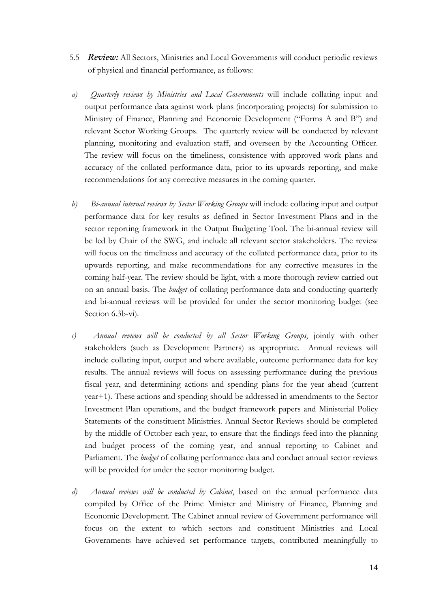- 5.5 *Review:* All Sectors, Ministries and Local Governments will conduct periodic reviews of physical and financial performance, as follows:
- *a) Quarterly reviews by Ministries and Local Governments* will include collating input and output performance data against work plans (incorporating projects) for submission to Ministry of Finance, Planning and Economic Development ("Forms A and B") and relevant Sector Working Groups. The quarterly review will be conducted by relevant planning, monitoring and evaluation staff, and overseen by the Accounting Officer. The review will focus on the timeliness, consistence with approved work plans and accuracy of the collated performance data, prior to its upwards reporting, and make recommendations for any corrective measures in the coming quarter.
- *b) Bi-annual internal reviews by Sector Working Groups* will include collating input and output performance data for key results as defined in Sector Investment Plans and in the sector reporting framework in the Output Budgeting Tool. The bi-annual review will be led by Chair of the SWG, and include all relevant sector stakeholders. The review will focus on the timeliness and accuracy of the collated performance data, prior to its upwards reporting, and make recommendations for any corrective measures in the coming half-year. The review should be light, with a more thorough review carried out on an annual basis. The *budget* of collating performance data and conducting quarterly and bi-annual reviews will be provided for under the sector monitoring budget (see Section 6.3b-vi).
- *c) Annual reviews will be conducted by all Sector Working Groups*, jointly with other stakeholders (such as Development Partners) as appropriate. Annual reviews will include collating input, output and where available, outcome performance data for key results. The annual reviews will focus on assessing performance during the previous fiscal year, and determining actions and spending plans for the year ahead (current year+1). These actions and spending should be addressed in amendments to the Sector Investment Plan operations, and the budget framework papers and Ministerial Policy Statements of the constituent Ministries. Annual Sector Reviews should be completed by the middle of October each year, to ensure that the findings feed into the planning and budget process of the coming year, and annual reporting to Cabinet and Parliament. The *budget* of collating performance data and conduct annual sector reviews will be provided for under the sector monitoring budget.
- *d) Annual reviews will be conducted by Cabinet*, based on the annual performance data compiled by Office of the Prime Minister and Ministry of Finance, Planning and Economic Development. The Cabinet annual review of Government performance will focus on the extent to which sectors and constituent Ministries and Local Governments have achieved set performance targets, contributed meaningfully to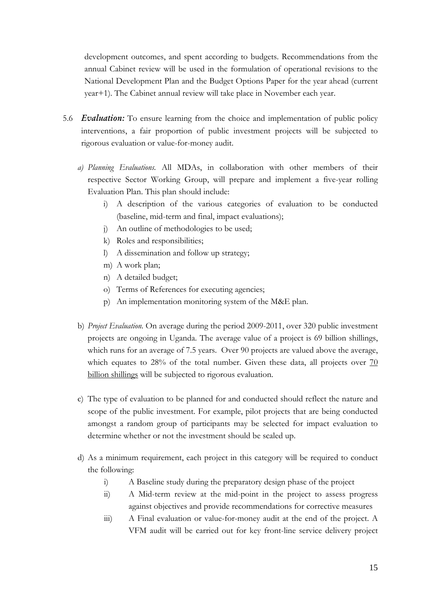development outcomes, and spent according to budgets. Recommendations from the annual Cabinet review will be used in the formulation of operational revisions to the National Development Plan and the Budget Options Paper for the year ahead (current year+1). The Cabinet annual review will take place in November each year.

- 5.6 *Evaluation:* To ensure learning from the choice and implementation of public policy interventions, a fair proportion of public investment projects will be subjected to rigorous evaluation or value-for-money audit.
	- *a) Planning Evaluations.* All MDAs, in collaboration with other members of their respective Sector Working Group, will prepare and implement a five-year rolling Evaluation Plan. This plan should include:
		- i) A description of the various categories of evaluation to be conducted (baseline, mid-term and final, impact evaluations);
		- j) An outline of methodologies to be used;
		- k) Roles and responsibilities;
		- l) A dissemination and follow up strategy;
		- m) A work plan;
		- n) A detailed budget;
		- o) Terms of References for executing agencies;
		- p) An implementation monitoring system of the M&E plan.
	- b) *Project Evaluation.* On average during the period 2009-2011, over 320 public investment projects are ongoing in Uganda. The average value of a project is 69 billion shillings, which runs for an average of 7.5 years. Over 90 projects are valued above the average, which equates to 28% of the total number. Given these data, all projects over 70 billion shillings will be subjected to rigorous evaluation.
	- c) The type of evaluation to be planned for and conducted should reflect the nature and scope of the public investment. For example, pilot projects that are being conducted amongst a random group of participants may be selected for impact evaluation to determine whether or not the investment should be scaled up.
	- d) As a minimum requirement, each project in this category will be required to conduct the following:
		- i) A Baseline study during the preparatory design phase of the project
		- ii) A Mid-term review at the mid-point in the project to assess progress against objectives and provide recommendations for corrective measures
		- iii) A Final evaluation or value-for-money audit at the end of the project. A VFM audit will be carried out for key front-line service delivery project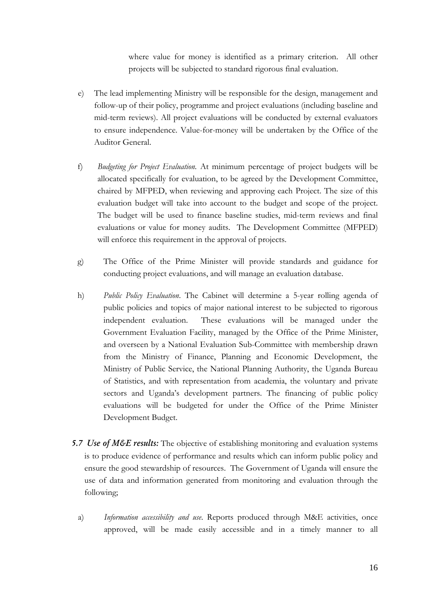where value for money is identified as a primary criterion. All other projects will be subjected to standard rigorous final evaluation.

- e) The lead implementing Ministry will be responsible for the design, management and follow-up of their policy, programme and project evaluations (including baseline and mid-term reviews). All project evaluations will be conducted by external evaluators to ensure independence. Value-for-money will be undertaken by the Office of the Auditor General.
- f) *Budgeting for Project Evaluation.* At minimum percentage of project budgets will be allocated specifically for evaluation, to be agreed by the Development Committee, chaired by MFPED, when reviewing and approving each Project. The size of this evaluation budget will take into account to the budget and scope of the project. The budget will be used to finance baseline studies, mid-term reviews and final evaluations or value for money audits. The Development Committee (MFPED) will enforce this requirement in the approval of projects.
- g) The Office of the Prime Minister will provide standards and guidance for conducting project evaluations, and will manage an evaluation database.
- h) *Public Policy Evaluation*. The Cabinet will determine a 5-year rolling agenda of public policies and topics of major national interest to be subjected to rigorous independent evaluation. These evaluations will be managed under the Government Evaluation Facility, managed by the Office of the Prime Minister, and overseen by a National Evaluation Sub-Committee with membership drawn from the Ministry of Finance, Planning and Economic Development, the Ministry of Public Service, the National Planning Authority, the Uganda Bureau of Statistics, and with representation from academia, the voluntary and private sectors and Uganda's development partners. The financing of public policy evaluations will be budgeted for under the Office of the Prime Minister Development Budget.
- *5.7 Use of M&E results:* The objective of establishing monitoring and evaluation systems is to produce evidence of performance and results which can inform public policy and ensure the good stewardship of resources. The Government of Uganda will ensure the use of data and information generated from monitoring and evaluation through the following;
	- a) *Information accessibility and use*. Reports produced through M&E activities, once approved, will be made easily accessible and in a timely manner to all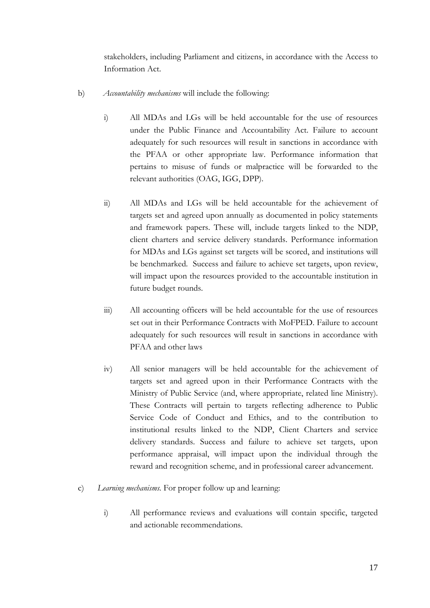stakeholders, including Parliament and citizens, in accordance with the Access to Information Act.

- b) *Accountability mechanisms* will include the following:
	- i) All MDAs and LGs will be held accountable for the use of resources under the Public Finance and Accountability Act. Failure to account adequately for such resources will result in sanctions in accordance with the PFAA or other appropriate law. Performance information that pertains to misuse of funds or malpractice will be forwarded to the relevant authorities (OAG, IGG, DPP).
	- ii) All MDAs and LGs will be held accountable for the achievement of targets set and agreed upon annually as documented in policy statements and framework papers. These will, include targets linked to the NDP, client charters and service delivery standards. Performance information for MDAs and LGs against set targets will be scored, and institutions will be benchmarked. Success and failure to achieve set targets, upon review, will impact upon the resources provided to the accountable institution in future budget rounds.
	- iii) All accounting officers will be held accountable for the use of resources set out in their Performance Contracts with MoFPED. Failure to account adequately for such resources will result in sanctions in accordance with PFAA and other laws
	- iv) All senior managers will be held accountable for the achievement of targets set and agreed upon in their Performance Contracts with the Ministry of Public Service (and, where appropriate, related line Ministry). These Contracts will pertain to targets reflecting adherence to Public Service Code of Conduct and Ethics, and to the contribution to institutional results linked to the NDP, Client Charters and service delivery standards. Success and failure to achieve set targets, upon performance appraisal, will impact upon the individual through the reward and recognition scheme, and in professional career advancement.
- c) *Learning mechanisms.* For proper follow up and learning:
	- i) All performance reviews and evaluations will contain specific, targeted and actionable recommendations.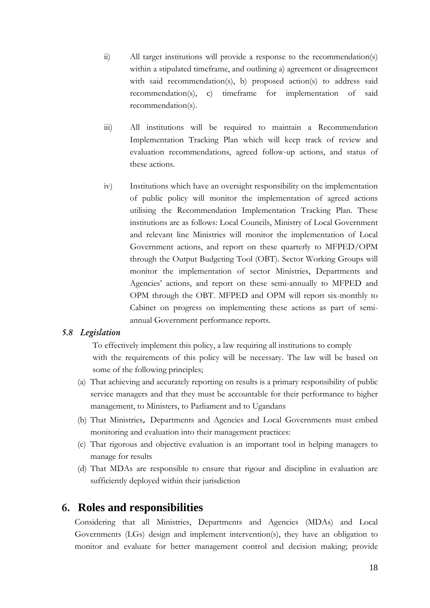- ii) All target institutions will provide a response to the recommendation(s) within a stipulated timeframe, and outlining a) agreement or disagreement with said recommendation(s), b) proposed action(s) to address said recommendation(s), c) timeframe for implementation of said recommendation(s).
- iii) All institutions will be required to maintain a Recommendation Implementation Tracking Plan which will keep track of review and evaluation recommendations, agreed follow-up actions, and status of these actions.
- iv) Institutions which have an oversight responsibility on the implementation of public policy will monitor the implementation of agreed actions utilising the Recommendation Implementation Tracking Plan. These institutions are as follows: Local Councils, Ministry of Local Government and relevant line Ministries will monitor the implementation of Local Government actions, and report on these quarterly to MFPED/OPM through the Output Budgeting Tool (OBT). Sector Working Groups will monitor the implementation of sector Ministries, Departments and Agencies' actions, and report on these semi-annually to MFPED and OPM through the OBT. MFPED and OPM will report six-monthly to Cabinet on progress on implementing these actions as part of semiannual Government performance reports.

#### *5.8 Legislation*

To effectively implement this policy, a law requiring all institutions to comply with the requirements of this policy will be necessary. The law will be based on some of the following principles;

- (a) That achieving and accurately reporting on results is a primary responsibility of public service managers and that they must be accountable for their performance to higher management, to Ministers, to Parliament and to Ugandans
- (b) That Ministries, Departments and Agencies and Local Governments must embed monitoring and evaluation into their management practices:
- (c) That rigorous and objective evaluation is an important tool in helping managers to manage for results
- (d) That MDAs are responsible to ensure that rigour and discipline in evaluation are sufficiently deployed within their jurisdiction

#### **6. Roles and responsibilities**

Considering that all Ministries, Departments and Agencies (MDAs) and Local Governments (LGs) design and implement intervention(s), they have an obligation to monitor and evaluate for better management control and decision making; provide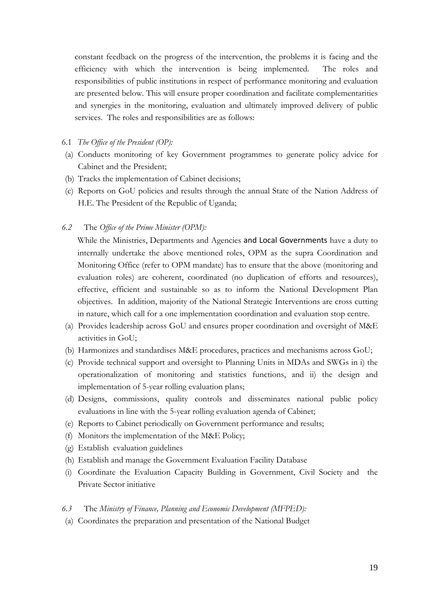constant feedback on the progress of the intervention, the problems it is facing and the efficiency with which the intervention is being implemented. The roles and responsibilities of public institutions in respect of performance monitoring and evaluation are presented below. This will ensure proper coordination and facilitate complementarities and synergies in the monitoring, evaluation and ultimately improved delivery of public services. The roles and responsibilities are as follows:

#### 6.1 *The Office of the President (OP):*

- (a) Conducts monitoring of key Government programmes to generate policy advice for Cabinet and the President;
- (b) Tracks the implementation of Cabinet decisions;
- (c) Reports on GoU policies and results through the annual State of the Nation Address of H.E. The President of the Republic of Uganda;

*6.2* The *Office of the Prime Minister (OPM):*

While the Ministries, Departments and Agencies and Local Governments have a duty to internally undertake the above mentioned roles, OPM as the supra Coordination and Monitoring Office (refer to OPM mandate) has to ensure that the above (monitoring and evaluation roles) are coherent, coordinated (no duplication of efforts and resources), effective, efficient and sustainable so as to inform the National Development Plan objectives. In addition, majority of the National Strategic Interventions are cross cutting in nature, which call for a one implementation coordination and evaluation stop centre.

- (a) Provides leadership across GoU and ensures proper coordination and oversight of M&E activities in GoU;
- (b) Harmonizes and standardises M&E procedures, practices and mechanisms across GoU;
- (c) Provide technical support and oversight to Planning Units in MDAs and SWGs in i) the operationalization of monitoring and statistics functions, and ii) the design and implementation of 5-year rolling evaluation plans;
- (d) Designs, commissions, quality controls and disseminates national public policy evaluations in line with the 5-year rolling evaluation agenda of Cabinet;
- (e) Reports to Cabinet periodically on Government performance and results;
- (f) Monitors the implementation of the M&E Policy;
- (g) Establish evaluation guidelines
- (h) Establish and manage the Government Evaluation Facility Database
- (i) Coordinate the Evaluation Capacity Building in Government, Civil Society and the Private Sector initiative
- *6.3* The *Ministry of Finance, Planning and Economic Development (MFPED):*
- (a) Coordinates the preparation and presentation of the National Budget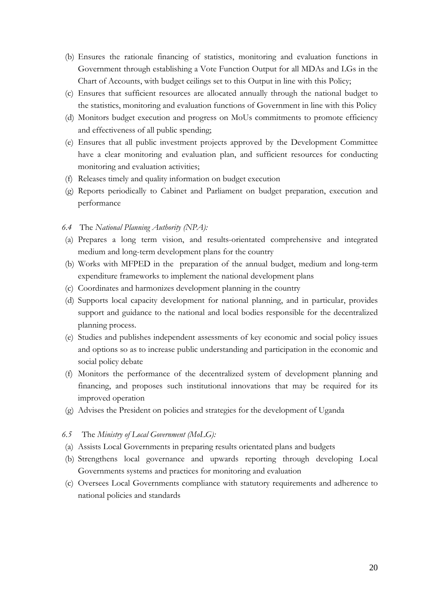- (b) Ensures the rationale financing of statistics, monitoring and evaluation functions in Government through establishing a Vote Function Output for all MDAs and LGs in the Chart of Accounts, with budget ceilings set to this Output in line with this Policy;
- (c) Ensures that sufficient resources are allocated annually through the national budget to the statistics, monitoring and evaluation functions of Government in line with this Policy
- (d) Monitors budget execution and progress on MoUs commitments to promote efficiency and effectiveness of all public spending;
- (e) Ensures that all public investment projects approved by the Development Committee have a clear monitoring and evaluation plan, and sufficient resources for conducting monitoring and evaluation activities;
- (f) Releases timely and quality information on budget execution
- (g) Reports periodically to Cabinet and Parliament on budget preparation, execution and performance
- *6.4* The *National Planning Authority (NPA):*
- (a) Prepares a long term vision, and results-orientated comprehensive and integrated medium and long-term development plans for the country
- (b) Works with MFPED in the preparation of the annual budget, medium and long-term expenditure frameworks to implement the national development plans
- (c) Coordinates and harmonizes development planning in the country
- (d) Supports local capacity development for national planning, and in particular, provides support and guidance to the national and local bodies responsible for the decentralized planning process.
- (e) Studies and publishes independent assessments of key economic and social policy issues and options so as to increase public understanding and participation in the economic and social policy debate
- (f) Monitors the performance of the decentralized system of development planning and financing, and proposes such institutional innovations that may be required for its improved operation
- (g) Advises the President on policies and strategies for the development of Uganda

#### *6.5* The *Ministry of Local Government (MoLG):*

- (a) Assists Local Governments in preparing results orientated plans and budgets
- (b) Strengthens local governance and upwards reporting through developing Local Governments systems and practices for monitoring and evaluation
- (c) Oversees Local Governments compliance with statutory requirements and adherence to national policies and standards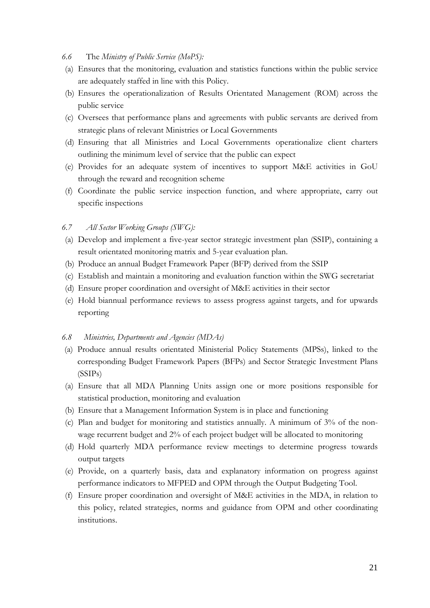- *6.6* The *Ministry of Public Service (MoPS):*
- (a) Ensures that the monitoring, evaluation and statistics functions within the public service are adequately staffed in line with this Policy.
- (b) Ensures the operationalization of Results Orientated Management (ROM) across the public service
- (c) Oversees that performance plans and agreements with public servants are derived from strategic plans of relevant Ministries or Local Governments
- (d) Ensuring that all Ministries and Local Governments operationalize client charters outlining the minimum level of service that the public can expect
- (e) Provides for an adequate system of incentives to support M&E activities in GoU through the reward and recognition scheme
- (f) Coordinate the public service inspection function, and where appropriate, carry out specific inspections

#### *6.7 All Sector Working Groups (SWG):*

- (a) Develop and implement a five-year sector strategic investment plan (SSIP), containing a result orientated monitoring matrix and 5-year evaluation plan.
- (b) Produce an annual Budget Framework Paper (BFP) derived from the SSIP
- (c) Establish and maintain a monitoring and evaluation function within the SWG secretariat
- (d) Ensure proper coordination and oversight of M&E activities in their sector
- (e) Hold biannual performance reviews to assess progress against targets, and for upwards reporting

#### *6.8 Ministries, Departments and Agencies (MDAs)*

- (a) Produce annual results orientated Ministerial Policy Statements (MPSs), linked to the corresponding Budget Framework Papers (BFPs) and Sector Strategic Investment Plans (SSIPs)
- (a) Ensure that all MDA Planning Units assign one or more positions responsible for statistical production, monitoring and evaluation
- (b) Ensure that a Management Information System is in place and functioning
- (c) Plan and budget for monitoring and statistics annually. A minimum of 3% of the nonwage recurrent budget and 2% of each project budget will be allocated to monitoring
- (d) Hold quarterly MDA performance review meetings to determine progress towards output targets
- (e) Provide, on a quarterly basis, data and explanatory information on progress against performance indicators to MFPED and OPM through the Output Budgeting Tool.
- (f) Ensure proper coordination and oversight of M&E activities in the MDA, in relation to this policy, related strategies, norms and guidance from OPM and other coordinating institutions.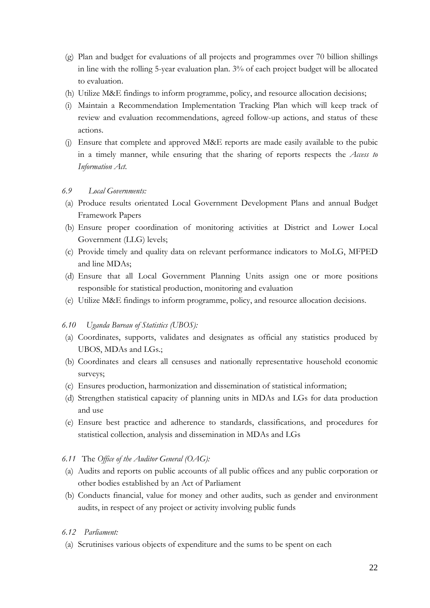- (g) Plan and budget for evaluations of all projects and programmes over 70 billion shillings in line with the rolling 5-year evaluation plan. 3% of each project budget will be allocated to evaluation.
- (h) Utilize M&E findings to inform programme, policy, and resource allocation decisions;
- (i) Maintain a Recommendation Implementation Tracking Plan which will keep track of review and evaluation recommendations, agreed follow-up actions, and status of these actions.
- (j) Ensure that complete and approved M&E reports are made easily available to the pubic in a timely manner, while ensuring that the sharing of reports respects the *Access to Information Act.*

#### *6.9 Local Governments:*

- (a) Produce results orientated Local Government Development Plans and annual Budget Framework Papers
- (b) Ensure proper coordination of monitoring activities at District and Lower Local Government (LLG) levels;
- (c) Provide timely and quality data on relevant performance indicators to MoLG, MFPED and line MDAs;
- (d) Ensure that all Local Government Planning Units assign one or more positions responsible for statistical production, monitoring and evaluation
- (e) Utilize M&E findings to inform programme, policy, and resource allocation decisions.

#### *6.10 Uganda Bureau of Statistics (UBOS):*

- (a) Coordinates, supports, validates and designates as official any statistics produced by UBOS, MDAs and LGs.;
- (b) Coordinates and clears all censuses and nationally representative household economic surveys;
- (c) Ensures production, harmonization and dissemination of statistical information;
- (d) Strengthen statistical capacity of planning units in MDAs and LGs for data production and use
- (e) Ensure best practice and adherence to standards, classifications, and procedures for statistical collection, analysis and dissemination in MDAs and LGs
- *6.11* The *Office of the Auditor General (OAG):*
- (a) Audits and reports on public accounts of all public offices and any public corporation or other bodies established by an Act of Parliament
- (b) Conducts financial, value for money and other audits, such as gender and environment audits, in respect of any project or activity involving public funds

#### *6.12 Parliament:*

(a) Scrutinises various objects of expenditure and the sums to be spent on each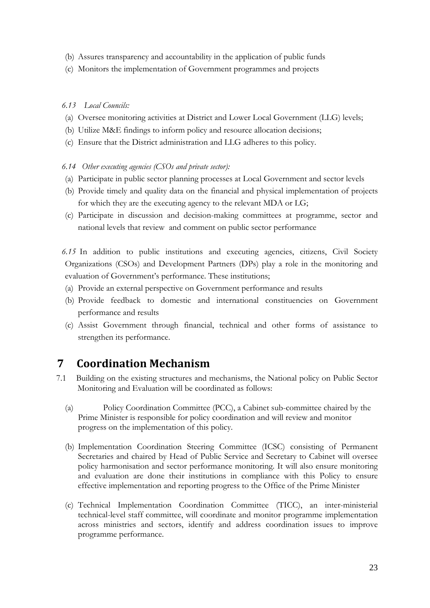- (b) Assures transparency and accountability in the application of public funds
- (c) Monitors the implementation of Government programmes and projects

#### *6.13 Local Councils:*

- (a) Oversee monitoring activities at District and Lower Local Government (LLG) levels;
- (b) Utilize M&E findings to inform policy and resource allocation decisions;
- (c) Ensure that the District administration and LLG adheres to this policy.

#### *6.14 Other executing agencies (CSOs and private sector):*

- (a) Participate in public sector planning processes at Local Government and sector levels
- (b) Provide timely and quality data on the financial and physical implementation of projects for which they are the executing agency to the relevant MDA or LG;
- (c) Participate in discussion and decision-making committees at programme, sector and national levels that review and comment on public sector performance
- *6.15* In addition to public institutions and executing agencies, citizens, Civil Society Organizations (CSOs) and Development Partners (DPs) play a role in the monitoring and evaluation of Government's performance. These institutions;
- (a) Provide an external perspective on Government performance and results
- (b) Provide feedback to domestic and international constituencies on Government performance and results
- (c) Assist Government through financial, technical and other forms of assistance to strengthen its performance.

# **7 Coordination Mechanism**

- 7.1 Building on the existing structures and mechanisms, the National policy on Public Sector Monitoring and Evaluation will be coordinated as follows:
	- (a) Policy Coordination Committee (PCC), a Cabinet sub-committee chaired by the Prime Minister is responsible for policy coordination and will review and monitor progress on the implementation of this policy.
	- (b) Implementation Coordination Steering Committee (ICSC) consisting of Permanent Secretaries and chaired by Head of Public Service and Secretary to Cabinet will oversee policy harmonisation and sector performance monitoring. It will also ensure monitoring and evaluation are done their institutions in compliance with this Policy to ensure effective implementation and reporting progress to the Office of the Prime Minister
	- (c) Technical Implementation Coordination Committee (TICC), an inter-ministerial technical-level staff committee, will coordinate and monitor programme implementation across ministries and sectors, identify and address coordination issues to improve programme performance.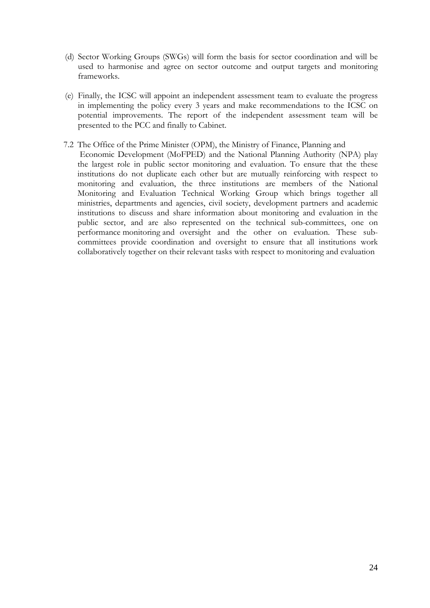- (d) Sector Working Groups (SWGs) will form the basis for sector coordination and will be used to harmonise and agree on sector outcome and output targets and monitoring frameworks.
- (e) Finally, the ICSC will appoint an independent assessment team to evaluate the progress in implementing the policy every 3 years and make recommendations to the ICSC on potential improvements. The report of the independent assessment team will be presented to the PCC and finally to Cabinet.
- 7.2 The Office of the Prime Minister (OPM), the Ministry of Finance, Planning and Economic Development (MoFPED) and the National Planning Authority (NPA) play the largest role in public sector monitoring and evaluation. To ensure that the these institutions do not duplicate each other but are mutually reinforcing with respect to monitoring and evaluation, the three institutions are members of the National Monitoring and Evaluation Technical Working Group which brings together all ministries, departments and agencies, civil society, development partners and academic institutions to discuss and share information about monitoring and evaluation in the public sector, and are also represented on the technical sub-committees, one on performance monitoring and oversight and the other on evaluation. These subcommittees provide coordination and oversight to ensure that all institutions work collaboratively together on their relevant tasks with respect to monitoring and evaluation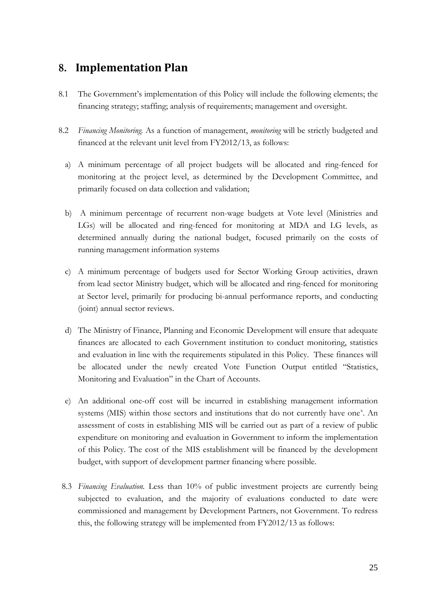### **8. Implementation Plan**

- 8.1 The Government's implementation of this Policy will include the following elements; the financing strategy; staffing; analysis of requirements; management and oversight.
- 8.2 *Financing Monitoring.* As a function of management, *monitoring* will be strictly budgeted and financed at the relevant unit level from FY2012/13, as follows:
	- a) A minimum percentage of all project budgets will be allocated and ring-fenced for monitoring at the project level, as determined by the Development Committee, and primarily focused on data collection and validation;
	- b) A minimum percentage of recurrent non-wage budgets at Vote level (Ministries and LGs) will be allocated and ring-fenced for monitoring at MDA and LG levels, as determined annually during the national budget, focused primarily on the costs of running management information systems
	- c) A minimum percentage of budgets used for Sector Working Group activities, drawn from lead sector Ministry budget, which will be allocated and ring-fenced for monitoring at Sector level, primarily for producing bi-annual performance reports, and conducting (joint) annual sector reviews.
	- d) The Ministry of Finance, Planning and Economic Development will ensure that adequate finances are allocated to each Government institution to conduct monitoring, statistics and evaluation in line with the requirements stipulated in this Policy. These finances will be allocated under the newly created Vote Function Output entitled "Statistics, Monitoring and Evaluation" in the Chart of Accounts.
	- e) An additional one-off cost will be incurred in establishing management information systems (MIS) within those sectors and institutions that do not currently have one<sup>[x](#page-33-9)</sup>. An assessment of costs in establishing MIS will be carried out as part of a review of public expenditure on monitoring and evaluation in Government to inform the implementation of this Policy. The cost of the MIS establishment will be financed by the development budget, with support of development partner financing where possible.
- 8.3 *Financing Evaluation.* Less than 10% of public investment projects are currently being subjected to evaluation, and the majority of evaluations conducted to date were commissioned and management by Development Partners, not Government. To redress this, the following strategy will be implemented from FY2012/13 as follows: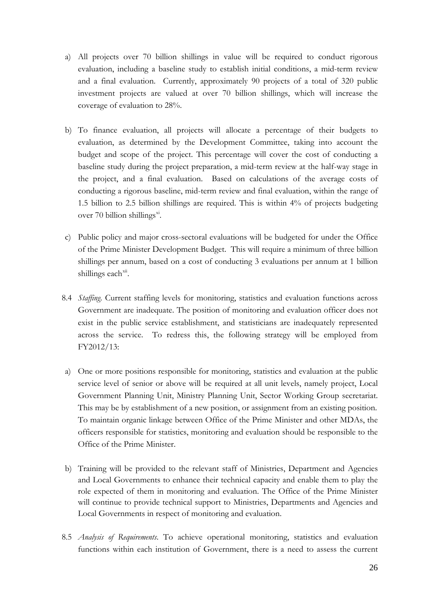- a) All projects over 70 billion shillings in value will be required to conduct rigorous evaluation, including a baseline study to establish initial conditions, a mid-term review and a final evaluation. Currently, approximately 90 projects of a total of 320 public investment projects are valued at over 70 billion shillings, which will increase the coverage of evaluation to 28%.
- b) To finance evaluation, all projects will allocate a percentage of their budgets to evaluation, as determined by the Development Committee, taking into account the budget and scope of the project. This percentage will cover the cost of conducting a baseline study during the project preparation, a mid-term review at the half-way stage in the project, and a final evaluation. Based on calculations of the average costs of conducting a rigorous baseline, mid-term review and final evaluation, within the range of 1.5 billion to 2.5 billion shillings are required. This is within 4% of projects budgeting over 70 billion shillings $x^i$ .
- c) Public policy and major cross-sectoral evaluations will be budgeted for under the Office of the Prime Minister Development Budget. This will require a minimum of three billion shillings per annum, based on a cost of conducting 3 evaluations per annum at 1 billion shillings each<sup>[xii](#page-34-1)</sup>.
- 8.4 *Staffing*. Current staffing levels for monitoring, statistics and evaluation functions across Government are inadequate. The position of monitoring and evaluation officer does not exist in the public service establishment, and statisticians are inadequately represented across the service. To redress this, the following strategy will be employed from FY2012/13:
- a) One or more positions responsible for monitoring, statistics and evaluation at the public service level of senior or above will be required at all unit levels, namely project, Local Government Planning Unit, Ministry Planning Unit, Sector Working Group secretariat. This may be by establishment of a new position, or assignment from an existing position. To maintain organic linkage between Office of the Prime Minister and other MDAs, the officers responsible for statistics, monitoring and evaluation should be responsible to the Office of the Prime Minister.
- b) Training will be provided to the relevant staff of Ministries, Department and Agencies and Local Governments to enhance their technical capacity and enable them to play the role expected of them in monitoring and evaluation. The Office of the Prime Minister will continue to provide technical support to Ministries, Departments and Agencies and Local Governments in respect of monitoring and evaluation.
- 8.5 *Analysis of Requirements*. To achieve operational monitoring, statistics and evaluation functions within each institution of Government, there is a need to assess the current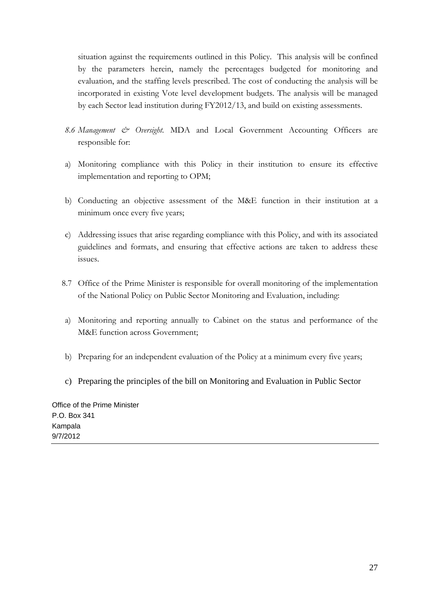situation against the requirements outlined in this Policy. This analysis will be confined by the parameters herein, namely the percentages budgeted for monitoring and evaluation, and the staffing levels prescribed. The cost of conducting the analysis will be incorporated in existing Vote level development budgets. The analysis will be managed by each Sector lead institution during FY2012/13, and build on existing assessments.

- *8.6 Management & Oversight.* MDA and Local Government Accounting Officers are responsible for:
- a) Monitoring compliance with this Policy in their institution to ensure its effective implementation and reporting to OPM;
- b) Conducting an objective assessment of the M&E function in their institution at a minimum once every five years;
- c) Addressing issues that arise regarding compliance with this Policy, and with its associated guidelines and formats, and ensuring that effective actions are taken to address these issues.
- 8.7 Office of the Prime Minister is responsible for overall monitoring of the implementation of the National Policy on Public Sector Monitoring and Evaluation, including:
- a) Monitoring and reporting annually to Cabinet on the status and performance of the M&E function across Government;
- b) Preparing for an independent evaluation of the Policy at a minimum every five years;
- c) Preparing the principles of the bill on Monitoring and Evaluation in Public Sector

Office of the Prime Minister P.O. Box 341 Kampala 9/7/2012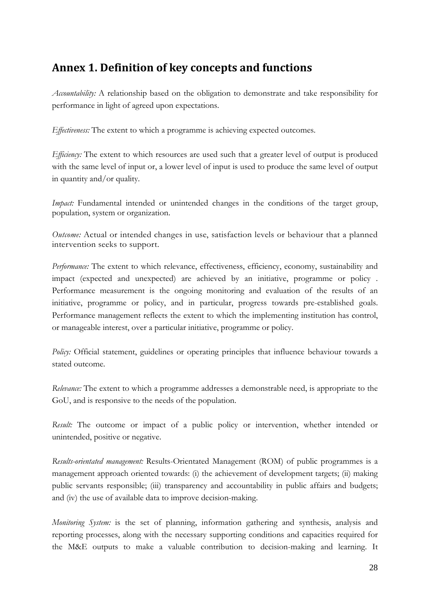## **Annex 1. Definition of key concepts and functions**

*Accountability:* A relationship based on the obligation to demonstrate and take responsibility for performance in light of agreed upon expectations.

*Effectiveness:* The extent to which a programme is achieving expected outcomes.

*Efficiency:* The extent to which resources are used such that a greater level of output is produced with the same level of input or, a lower level of input is used to produce the same level of output in quantity and/or quality.

*Impact:* Fundamental intended or unintended changes in the conditions of the target group, population, system or organization.

*Outcome:* Actual or intended changes in use, satisfaction levels or behaviour that a planned intervention seeks to support.

*Performance:* The extent to which relevance, effectiveness, efficiency, economy, sustainability and impact (expected and unexpected) are achieved by an initiative, programme or policy . Performance measurement is the ongoing monitoring and evaluation of the results of an initiative, programme or policy, and in particular, progress towards pre-established goals. Performance management reflects the extent to which the implementing institution has control, or manageable interest, over a particular initiative, programme or policy.

*Policy:* Official statement, guidelines or operating principles that influence behaviour towards a stated outcome.

*Relevance:* The extent to which a programme addresses a demonstrable need, is appropriate to the GoU, and is responsive to the needs of the population.

*Result:* The outcome or impact of a public policy or intervention, whether intended or unintended, positive or negative.

*Results-orientated management:* Results-Orientated Management (ROM) of public programmes is a management approach oriented towards: (i) the achievement of development targets; (ii) making public servants responsible; (iii) transparency and accountability in public affairs and budgets; and (iv) the use of available data to improve decision-making.

*Monitoring System:* is the set of planning, information gathering and synthesis, analysis and reporting processes, along with the necessary supporting conditions and capacities required for the M&E outputs to make a valuable contribution to decision-making and learning. It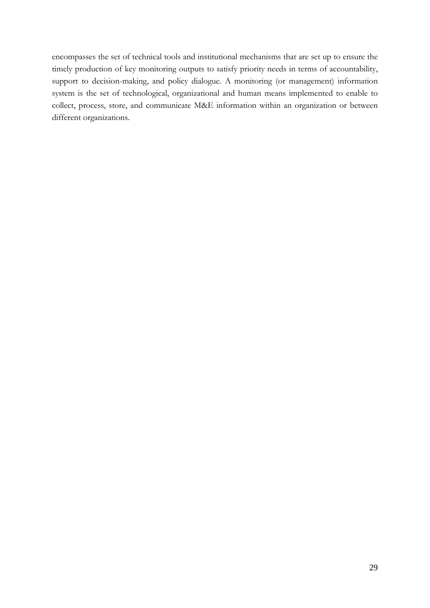encompasses the set of technical tools and institutional mechanisms that are set up to ensure the timely production of key monitoring outputs to satisfy priority needs in terms of accountability, support to decision-making, and policy dialogue. A monitoring (or management) information system is the set of technological, organizational and human means implemented to enable to collect, process, store, and communicate M&E information within an organization or between different organizations.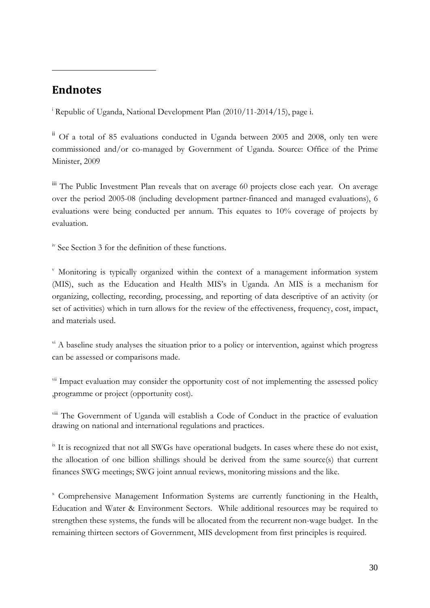### <span id="page-33-0"></span>**Endnotes**

<u>.</u>

<sup>i</sup> Republic of Uganda, National Development Plan (2010/11-2014/15), page i.

<span id="page-33-1"></span>ii Of a total of 85 evaluations conducted in Uganda between 2005 and 2008, only ten were commissioned and/or co-managed by Government of Uganda. Source: Office of the Prime Minister, 2009

<span id="page-33-2"></span>iii The Public Investment Plan reveals that on average 60 projects close each year. On average over the period 2005-08 (including development partner-financed and managed evaluations), 6 evaluations were being conducted per annum. This equates to 10% coverage of projects by evaluation.

<span id="page-33-3"></span>iv See Section 3 for the definition of these functions.

<span id="page-33-4"></span><sup>v</sup> Monitoring is typically organized within the context of a management information system (MIS), such as the Education and Health MIS's in Uganda. An MIS is a mechanism for organizing, collecting, recording, processing, and reporting of data descriptive of an activity (or set of activities) which in turn allows for the review of the effectiveness, frequency, cost, impact, and materials used.

<span id="page-33-5"></span> $v_i$ <sup>i</sup> A baseline study analyses the situation prior to a policy or intervention, against which progress can be assessed or comparisons made.

<span id="page-33-6"></span><sup>vii</sup> Impact evaluation may consider the opportunity cost of not implementing the assessed policy ,programme or project (opportunity cost).

<span id="page-33-7"></span><sup>viii</sup> The Government of Uganda will establish a Code of Conduct in the practice of evaluation drawing on national and international regulations and practices.

<span id="page-33-8"></span> $\frac{1}{10}$  is recognized that not all SWGs have operational budgets. In cases where these do not exist, the allocation of one billion shillings should be derived from the same source(s) that current finances SWG meetings; SWG joint annual reviews, monitoring missions and the like.

<span id="page-33-9"></span><sup>x</sup> Comprehensive Management Information Systems are currently functioning in the Health, Education and Water & Environment Sectors. While additional resources may be required to strengthen these systems, the funds will be allocated from the recurrent non-wage budget. In the remaining thirteen sectors of Government, MIS development from first principles is required.